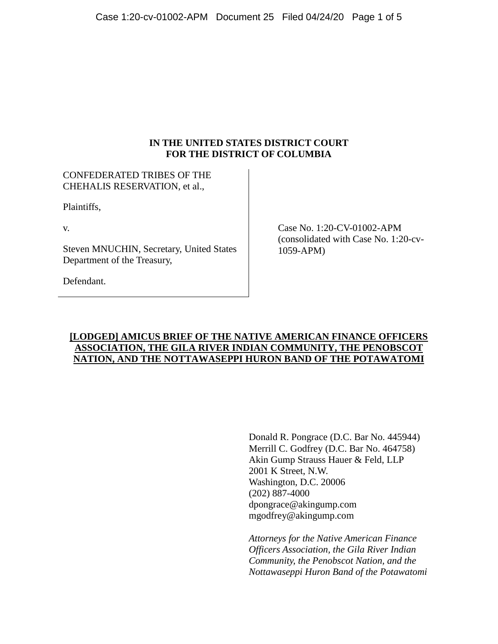## **IN THE UNITED STATES DISTRICT COURT FOR THE DISTRICT OF COLUMBIA**

# CONFEDERATED TRIBES OF THE CHEHALIS RESERVATION, et al.,

Plaintiffs,

v.

Steven MNUCHIN, Secretary, United States Department of the Treasury,

Case No. 1:20-CV-01002-APM (consolidated with Case No. 1:20-cv-1059-APM)

Defendant.

## **[LODGED] AMICUS BRIEF OF THE NATIVE AMERICAN FINANCE OFFICERS ASSOCIATION, THE GILA RIVER INDIAN COMMUNITY, THE PENOBSCOT NATION, AND THE NOTTAWASEPPI HURON BAND OF THE POTAWATOMI**

Donald R. Pongrace (D.C. Bar No. 445944) Merrill C. Godfrey (D.C. Bar No. 464758) Akin Gump Strauss Hauer & Feld, LLP 2001 K Street, N.W. Washington, D.C. 20006 (202) 887-4000 dpongrace@akingump.com mgodfrey@akingump.com

*Attorneys for the Native American Finance Officers Association, the Gila River Indian Community, the Penobscot Nation, and the Nottawaseppi Huron Band of the Potawatomi*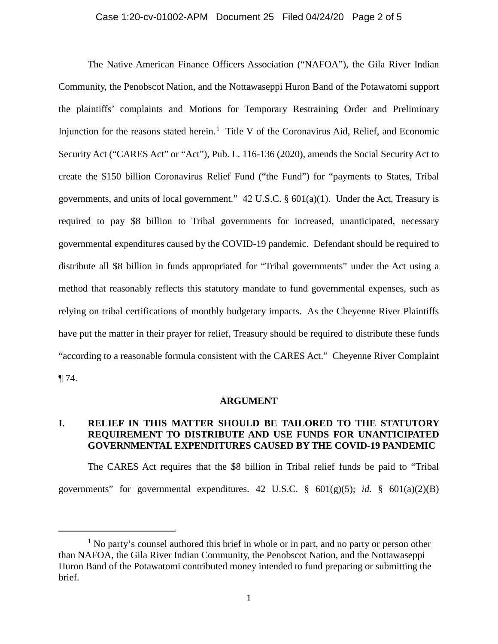### Case 1:20-cv-01002-APM Document 25 Filed 04/24/20 Page 2 of 5

The Native American Finance Officers Association ("NAFOA"), the Gila River Indian Community, the Penobscot Nation, and the Nottawaseppi Huron Band of the Potawatomi support the plaintiffs' complaints and Motions for Temporary Restraining Order and Preliminary Injunction for the reasons stated herein.<sup>1</sup> Title V of the Coronavirus Aid, Relief, and Economic Security Act ("CARES Act" or "Act"), Pub. L. 116-136 (2020), amends the Social Security Act to create the \$150 billion Coronavirus Relief Fund ("the Fund") for "payments to States, Tribal governments, and units of local government."  $42 \text{ U.S.C.}$  §  $601(a)(1)$ . Under the Act, Treasury is required to pay \$8 billion to Tribal governments for increased, unanticipated, necessary governmental expenditures caused by the COVID-19 pandemic. Defendant should be required to distribute all \$8 billion in funds appropriated for "Tribal governments" under the Act using a method that reasonably reflects this statutory mandate to fund governmental expenses, such as relying on tribal certifications of monthly budgetary impacts. As the Cheyenne River Plaintiffs have put the matter in their prayer for relief, Treasury should be required to distribute these funds "according to a reasonable formula consistent with the CARES Act." Cheyenne River Complaint  $\P$  74.

#### **ARGUMENT**

## **I. RELIEF IN THIS MATTER SHOULD BE TAILORED TO THE STATUTORY REQUIREMENT TO DISTRIBUTE AND USE FUNDS FOR UNANTICIPATED GOVERNMENTAL EXPENDITURES CAUSED BY THE COVID-19 PANDEMIC**

The CARES Act requires that the \$8 billion in Tribal relief funds be paid to "Tribal governments" for governmental expenditures. 42 U.S.C.  $\frac{8}{9}$  601(g)(5); *id.*  $\frac{8}{9}$  601(a)(2)(B)

 $\overline{a}$ 

 $<sup>1</sup>$  No party's counsel authored this brief in whole or in part, and no party or person other</sup> than NAFOA, the Gila River Indian Community, the Penobscot Nation, and the Nottawaseppi Huron Band of the Potawatomi contributed money intended to fund preparing or submitting the brief.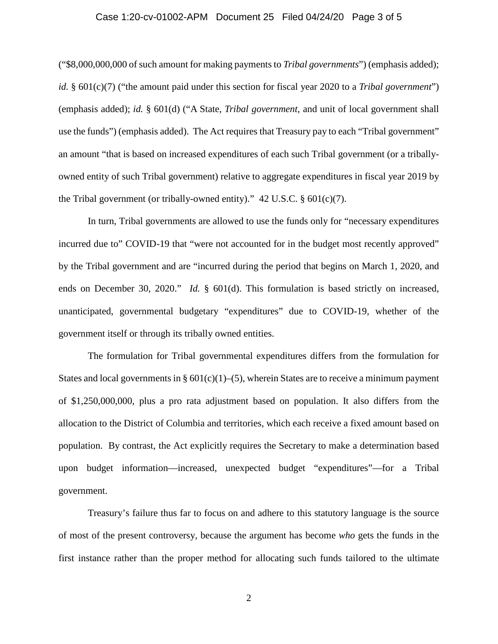### Case 1:20-cv-01002-APM Document 25 Filed 04/24/20 Page 3 of 5

("\$8,000,000,000 of such amount for making payments to *Tribal governments*") (emphasis added); *id.* § 601(c)(7) ("the amount paid under this section for fiscal year 2020 to a *Tribal government*") (emphasis added); *id.* § 601(d) ("A State, *Tribal government*, and unit of local government shall use the funds") (emphasis added). The Act requires that Treasury pay to each "Tribal government" an amount "that is based on increased expenditures of each such Tribal government (or a triballyowned entity of such Tribal government) relative to aggregate expenditures in fiscal year 2019 by the Tribal government (or tribally-owned entity)."  $42 \text{ U.S.C.}$  §  $601 \text{(c)}(7)$ .

In turn, Tribal governments are allowed to use the funds only for "necessary expenditures incurred due to" COVID-19 that "were not accounted for in the budget most recently approved" by the Tribal government and are "incurred during the period that begins on March 1, 2020, and ends on December 30, 2020." *Id.* § 601(d). This formulation is based strictly on increased, unanticipated, governmental budgetary "expenditures" due to COVID-19, whether of the government itself or through its tribally owned entities.

The formulation for Tribal governmental expenditures differs from the formulation for States and local governments in §  $601(c)(1)–(5)$ , wherein States are to receive a minimum payment of \$1,250,000,000, plus a pro rata adjustment based on population. It also differs from the allocation to the District of Columbia and territories, which each receive a fixed amount based on population. By contrast, the Act explicitly requires the Secretary to make a determination based upon budget information—increased, unexpected budget "expenditures"—for a Tribal government.

Treasury's failure thus far to focus on and adhere to this statutory language is the source of most of the present controversy, because the argument has become *who* gets the funds in the first instance rather than the proper method for allocating such funds tailored to the ultimate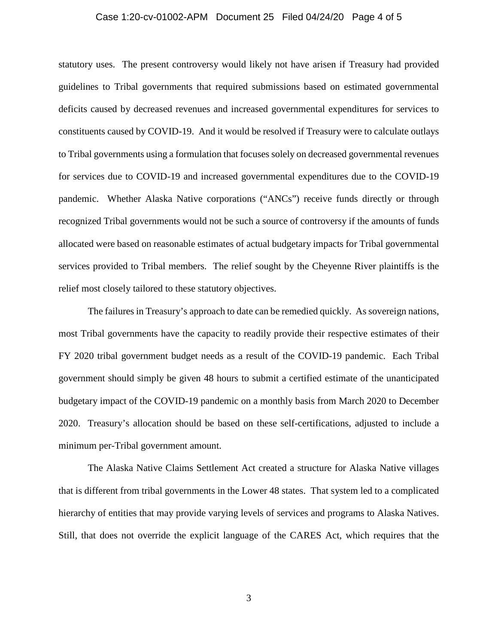### Case 1:20-cv-01002-APM Document 25 Filed 04/24/20 Page 4 of 5

statutory uses. The present controversy would likely not have arisen if Treasury had provided guidelines to Tribal governments that required submissions based on estimated governmental deficits caused by decreased revenues and increased governmental expenditures for services to constituents caused by COVID-19. And it would be resolved if Treasury were to calculate outlays to Tribal governments using a formulation that focuses solely on decreased governmental revenues for services due to COVID-19 and increased governmental expenditures due to the COVID-19 pandemic. Whether Alaska Native corporations ("ANCs") receive funds directly or through recognized Tribal governments would not be such a source of controversy if the amounts of funds allocated were based on reasonable estimates of actual budgetary impacts for Tribal governmental services provided to Tribal members. The relief sought by the Cheyenne River plaintiffs is the relief most closely tailored to these statutory objectives.

The failures in Treasury's approach to date can be remedied quickly. As sovereign nations, most Tribal governments have the capacity to readily provide their respective estimates of their FY 2020 tribal government budget needs as a result of the COVID-19 pandemic. Each Tribal government should simply be given 48 hours to submit a certified estimate of the unanticipated budgetary impact of the COVID-19 pandemic on a monthly basis from March 2020 to December 2020. Treasury's allocation should be based on these self-certifications, adjusted to include a minimum per-Tribal government amount.

The Alaska Native Claims Settlement Act created a structure for Alaska Native villages that is different from tribal governments in the Lower 48 states. That system led to a complicated hierarchy of entities that may provide varying levels of services and programs to Alaska Natives. Still, that does not override the explicit language of the CARES Act, which requires that the